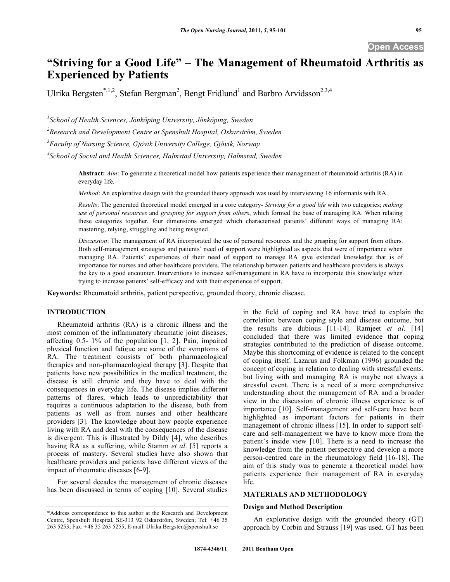# **"Striving for a Good Life" – The Management of Rheumatoid Arthritis as Experienced by Patients**

Ulrika Bergsten\*,<sup>1,2</sup>, Stefan Bergman<sup>2</sup>, Bengt Fridlund<sup>1</sup> and Barbro Arvidsson<sup>2,3,4</sup>

*1 School of Health Sciences, Jönköping University, Jönköping, Sweden* 

*2 Research and Development Centre at Spenshult Hospital, Oskarström, Sweden* 

*3 Faculty of Nursing Science, Gjövik University College, Gjövik, Norway* 

<sup>4</sup> School of Social and Health Sciences, Halmstad University, Halmstad, Sweden

**Abstract:** *Aim*: To generate a theoretical model how patients experience their management of rheumatoid arthritis (RA) in everyday life.

*Method*: An explorative design with the grounded theory approach was used by interviewing 16 informants with RA.

*Results*: The generated theoretical model emerged in a core category- *Striving for a good life* with two categories; *making use of personal resources* and *grasping for support from others*, which formed the base of managing RA. When relating these categories together, four dimensions emerged which characterised patients' different ways of managing RA: mastering, relying, struggling and being resigned.

*Discussion*: The management of RA incorporated the use of personal resources and the grasping for support from others. Both self-management strategies and patients' need of support were highlighted as aspects that were of importance when managing RA. Patients' experiences of their need of support to manage RA give extended knowledge that is of importance for nurses and other healthcare providers. The relationship between patients and healthcare providers is always the key to a good encounter. Interventions to increase self-management in RA have to incorporate this knowledge when trying to increase patients' self-efficacy and with their experience of support.

**Keywords:** Rheumatoid arthritis, patient perspective, grounded theory, chronic disease.

# **INTRODUCTION**

 Rheumatoid arthritis (RA) is a chronic illness and the most common of the inflammatory rheumatic joint diseases, affecting 0.5- 1% of the population [1, 2]. Pain, impaired physical function and fatigue are some of the symptoms of RA. The treatment consists of both pharmacological therapies and non-pharmacological therapy [3]. Despite that patients have new possibilities in the medical treatment, the disease is still chronic and they have to deal with the consequences in everyday life. The disease implies different patterns of flares, which leads to unpredictability that requires a continuous adaptation to the disease, both from patients as well as from nurses and other healthcare providers [3]. The knowledge about how people experience living with RA and deal with the consequences of the disease is divergent. This is illustrated by Dildy [4], who describes having RA as a suffering, while Stamm *et al*. [5] reports a process of mastery. Several studies have also shown that healthcare providers and patients have different views of the impact of rheumatic diseases [6-9].

 For several decades the management of chronic diseases has been discussed in terms of coping [10]. Several studies

in the field of coping and RA have tried to explain the correlation between coping style and disease outcome, but the results are dubious [11-14]. Ramjeet *et al*. [14] concluded that there was limited evidence that coping strategies contributed to the prediction of disease outcome. Maybe this shortcoming of evidence is related to the concept of coping itself. Lazarus and Folkman (1996) grounded the concept of coping in relation to dealing with stressful events, but living with and managing RA is maybe not always a stressful event. There is a need of a more comprehensive understanding about the management of RA and a broader view in the discussion of chronic illness experience is of importance [10]. Self-management and self-care have been highlighted as important factors for patients in their management of chronic illness [15]. In order to support selfcare and self-management we have to know more from the patient's inside view [10]. There is a need to increase the knowledge from the patient perspective and develop a more person-centred care in the rheumatology field [16-18]. The aim of this study was to generate a theoretical model how patients experience their management of RA in everyday life.

# **MATERIALS AND METHODOLOGY**

## **Design and Method Description**

 An explorative design with the grounded theory (GT) approach by Corbin and Strauss [19] was used. GT has been

<sup>\*</sup>Address correspondence to this author at the Research and Development Centre, Spenshult Hospital, SE-313 92 Oskarström, Sweden; Tel: +46 35 263 5253; Fax: +46 35 263 5255; E-mail: Ulrika.Bergsten@spenshult.se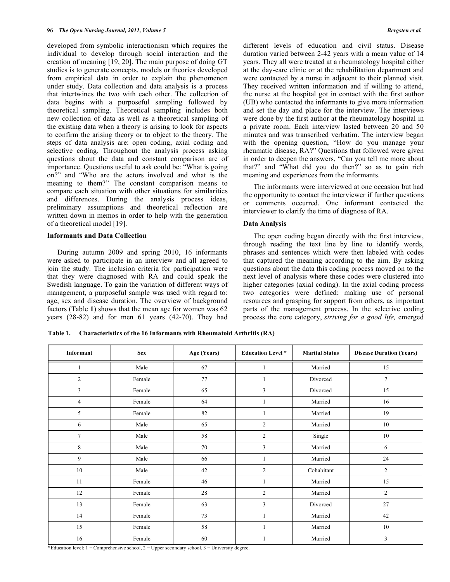developed from symbolic interactionism which requires the individual to develop through social interaction and the creation of meaning [19, 20]. The main purpose of doing GT studies is to generate concepts, models or theories developed from empirical data in order to explain the phenomenon under study. Data collection and data analysis is a process that intertwines the two with each other. The collection of data begins with a purposeful sampling followed by theoretical sampling. Theoretical sampling includes both new collection of data as well as a theoretical sampling of the existing data when a theory is arising to look for aspects to confirm the arising theory or to object to the theory. The steps of data analysis are: open coding, axial coding and selective coding. Throughout the analysis process asking questions about the data and constant comparison are of importance. Questions useful to ask could be: "What is going on?" and "Who are the actors involved and what is the meaning to them?" The constant comparison means to compare each situation with other situations for similarities and differences. During the analysis process ideas, preliminary assumptions and theoretical reflection are written down in memos in order to help with the generation of a theoretical model [19].

#### **Informants and Data Collection**

 During autumn 2009 and spring 2010, 16 informants were asked to participate in an interview and all agreed to join the study. The inclusion criteria for participation were that they were diagnosed with RA and could speak the Swedish language. To gain the variation of different ways of management, a purposeful sample was used with regard to: age, sex and disease duration. The overview of background factors (Table **1**) shows that the mean age for women was 62 years (28-82) and for men 61 years (42-70). They had

different levels of education and civil status. Disease duration varied between 2-42 years with a mean value of 14 years. They all were treated at a rheumatology hospital either at the day-care clinic or at the rehabilitation department and were contacted by a nurse in adjacent to their planned visit. They received written information and if willing to attend, the nurse at the hospital got in contact with the first author (UB) who contacted the informants to give more information and set the day and place for the interview. The interviews were done by the first author at the rheumatology hospital in a private room. Each interview lasted between 20 and 50 minutes and was transcribed verbatim. The interview began with the opening question, "How do you manage your rheumatic disease, RA?" Questions that followed were given in order to deepen the answers, "Can you tell me more about that?" and "What did you do then?" so as to gain rich meaning and experiences from the informants.

 The informants were interviewed at one occasion but had the opportunity to contact the interviewer if further questions or comments occurred. One informant contacted the interviewer to clarify the time of diagnose of RA.

#### **Data Analysis**

 The open coding began directly with the first interview, through reading the text line by line to identify words, phrases and sentences which were then labeled with codes that captured the meaning according to the aim. By asking questions about the data this coding process moved on to the next level of analysis where these codes were clustered into higher categories (axial coding). In the axial coding process two categories were defined; making use of personal resources and grasping for support from others, as important parts of the management process. In the selective coding process the core category, *striving for a good life,* emerged

| Informant      | <b>Sex</b> | Age (Years) | <b>Education Level</b> * | <b>Marital Status</b> | <b>Disease Duration (Years)</b> |
|----------------|------------|-------------|--------------------------|-----------------------|---------------------------------|
| 1              | Male       | 67          | 1                        | Married               | 15                              |
| $\overline{2}$ | Female     | 77          |                          | Divorced              | 7                               |
| 3              | Female     | 65          | 3                        | Divorced              | 15                              |
| $\overline{4}$ | Female     | 64          |                          | Married               | 16                              |
| 5              | Female     | 82          |                          | Married               | 19                              |
| 6              | Male       | 65          | 2                        | Married               | 10                              |
| $\tau$         | Male       | 58          | $\overline{c}$           | Single                | 10                              |
| 8              | Male       | 70          | 3                        | Married               | 6                               |
| 9              | Male       | 66          |                          | Married               | 24                              |
| 10             | Male       | 42          | $\overline{2}$           | Cohabitant            | 2                               |
| 11             | Female     | 46          |                          | Married               | 15                              |
| 12             | Female     | 28          | $\overline{c}$           | Married               | $\overline{c}$                  |
| 13             | Female     | 63          | 3                        | Divorced              | 27                              |
| 14             | Female     | 73          |                          | Married               | 42                              |
| 15             | Female     | 58          |                          | Married               | 10                              |
| 16             | Female     | 60          |                          | Married               | 3                               |

**Table 1. Characteristics of the 16 Informants with Rheumatoid Arthritis (RA)** 

\*Education level: 1 = Comprehensive school, 2 = Upper secondary school, 3 = University degree.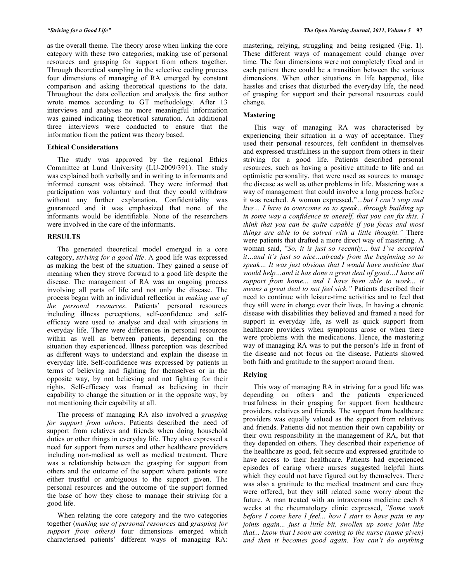as the overall theme. The theory arose when linking the core category with these two categories; making use of personal resources and grasping for support from others together. Through theoretical sampling in the selective coding process four dimensions of managing of RA emerged by constant comparison and asking theoretical questions to the data. Throughout the data collection and analysis the first author wrote memos according to GT methodology. After 13 interviews and analyses no more meaningful information was gained indicating theoretical saturation. An additional three interviews were conducted to ensure that the information from the patient was theory based.

#### **Ethical Considerations**

 The study was approved by the regional Ethics Committee at Lund University (LU-2009/391). The study was explained both verbally and in writing to informants and informed consent was obtained. They were informed that participation was voluntary and that they could withdraw without any further explanation. Confidentiality was guaranteed and it was emphasized that none of the informants would be identifiable. None of the researchers were involved in the care of the informants.

#### **RESULTS**

 The generated theoretical model emerged in a core category, *striving for a good life*. A good life was expressed as making the best of the situation. They gained a sense of meaning when they strove forward to a good life despite the disease. The management of RA was an ongoing process involving all parts of life and not only the disease. The process began with an individual reflection in *making use of the personal resources*. Patients' personal resources including illness perceptions, self-confidence and selfefficacy were used to analyse and deal with situations in everyday life. There were differences in personal resources within as well as between patients, depending on the situation they experienced. Illness perception was described as different ways to understand and explain the disease in everyday life. Self-confidence was expressed by patients in terms of believing and fighting for themselves or in the opposite way, by not believing and not fighting for their rights. Self-efficacy was framed as believing in their capability to change the situation or in the opposite way, by not mentioning their capability at all.

 The process of managing RA also involved a *grasping for support from others*. Patients described the need of support from relatives and friends when doing household duties or other things in everyday life. They also expressed a need for support from nurses and other healthcare providers including non-medical as well as medical treatment. There was a relationship between the grasping for support from others and the outcome of the support where patients were either trustful or ambiguous to the support given. The personal resources and the outcome of the support formed the base of how they chose to manage their striving for a good life.

 When relating the core category and the two categories together (*making use of personal resources* and *grasping for support from others)* four dimensions emerged which characterised patients' different ways of managing RA: mastering, relying, struggling and being resigned (Fig. **1**). These different ways of management could change over time. The four dimensions were not completely fixed and in each patient there could be a transition between the various dimensions. When other situations in life happened, like hassles and crises that disturbed the everyday life, the need of grasping for support and their personal resources could change.

#### **Mastering**

 This way of managing RA was characterised by experiencing their situation in a way of acceptance. They used their personal resources, felt confident in themselves and expressed trustfulness in the support from others in their striving for a good life. Patients described personal resources, such as having a positive attitude to life and an optimistic personality, that were used as sources to manage the disease as well as other problems in life. Mastering was a way of management that could involve a long process before it was reached. A woman expressed,"*…but I can't stop and live… I have to overcome so to speak…through building up in some way a confidence in oneself, that you can fix this. I think that you can be quite capable if you focus and most things are able to be solved with a little thought."* There were patients that drafted a more direct way of mastering. A woman said, "*So, it is just so recently... but I've accepted it…and it's just so nice…already from the beginning so to speak… It was just obvious that I would have medicine that would help…and it has done a great deal of good…I have all support from home... and I have been able to work... it means a great deal to not feel sick."* Patients described their need to continue with leisure-time activities and to feel that they still were in charge over their lives. In having a chronic disease with disabilities they believed and framed a need for support in everyday life, as well as quick support from healthcare providers when symptoms arose or when there were problems with the medications. Hence, the mastering way of managing RA was to put the person's life in front of the disease and not focus on the disease. Patients showed both faith and gratitude to the support around them.

#### **Relying**

 This way of managing RA in striving for a good life was depending on others and the patients experienced trustfulness in their grasping for support from healthcare providers, relatives and friends. The support from healthcare providers was equally valued as the support from relatives and friends. Patients did not mention their own capability or their own responsibility in the management of RA, but that they depended on others. They described their experience of the healthcare as good, felt secure and expressed gratitude to have access to their healthcare. Patients had experienced episodes of caring where nurses suggested helpful hints which they could not have figured out by themselves. There was also a gratitude to the medical treatment and care they were offered, but they still related some worry about the future. A man treated with an intravenous medicine each 8 weeks at the rheumatology clinic expressed, "*Some week before I come here I feel... how I start to have pain in my joints again... just a little bit, swollen up some joint like that... know that I soon am coming to the nurse (name given) and then it becomes good again. You can't do anything*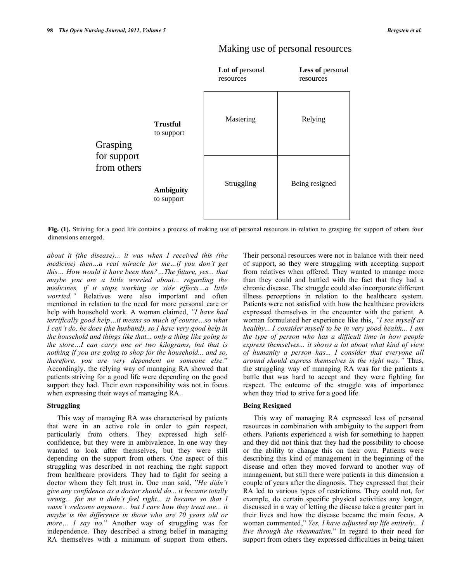

# Making use of personal resources

Fig. (1). Striving for a good life contains a process of making use of personal resources in relation to grasping for support of others four dimensions emerged.

*about it (the disease)... it was when I received this (the medicine) then…a real miracle for me…if you don't get this… How would it have been then?…The future, yes... that maybe you are a little worried about... regarding the medicines, if it stops working or side effects…a little worried."* Relatives were also important and often mentioned in relation to the need for more personal care or help with household work. A woman claimed, *"I have had terrifically good help…it means so much of course…so what I can't do, he does (the husband), so I have very good help in the household and things like that... only a thing like going to the store…I can carry one or two kilograms, but that is nothing if you are going to shop for the household... and so, therefore, you are very dependent on someone else.*" Accordingly, the relying way of managing RA showed that patients striving for a good life were depending on the good support they had. Their own responsibility was not in focus when expressing their ways of managing RA.

# **Struggling**

 This way of managing RA was characterised by patients that were in an active role in order to gain respect, particularly from others. They expressed high selfconfidence, but they were in ambivalence. In one way they wanted to look after themselves, but they were still depending on the support from others. One aspect of this struggling was described in not reaching the right support from healthcare providers. They had to fight for seeing a doctor whom they felt trust in. One man said, "*He didn't give any confidence as a doctor should do... it became totally wrong... for me it didn't feel right... it became so that I wasn't welcome anymore... but I care how they treat me... it maybe is the difference in those who are 70 years old or more… I say no.*" Another way of struggling was for independence. They described a strong belief in managing RA themselves with a minimum of support from others.

Their personal resources were not in balance with their need of support, so they were struggling with accepting support from relatives when offered. They wanted to manage more than they could and battled with the fact that they had a chronic disease. The struggle could also incorporate different illness perceptions in relation to the healthcare system. Patients were not satisfied with how the healthcare providers expressed themselves in the encounter with the patient. A woman formulated her experience like this, *"I see myself as healthy... I consider myself to be in very good health... I am the type of person who has a difficult time in how people express themselves... it shows a lot about what kind of view of humanity a person has... I consider that everyone all around should express themselves in the right way."* Thus, the struggling way of managing RA was for the patients a battle that was hard to accept and they were fighting for respect. The outcome of the struggle was of importance when they tried to strive for a good life.

#### **Being Resigned**

 This way of managing RA expressed less of personal resources in combination with ambiguity to the support from others. Patients experienced a wish for something to happen and they did not think that they had the possibility to choose or the ability to change this on their own. Patients were describing this kind of management in the beginning of the disease and often they moved forward to another way of management, but still there were patients in this dimension a couple of years after the diagnosis. They expressed that their RA led to various types of restrictions. They could not, for example, do certain specific physical activities any longer, discussed in a way of letting the disease take a greater part in their lives and how the disease became the main focus. A woman commented," *Yes, I have adjusted my life entirely... I live through the rheumatism.*" In regard to their need for support from others they expressed difficulties in being taken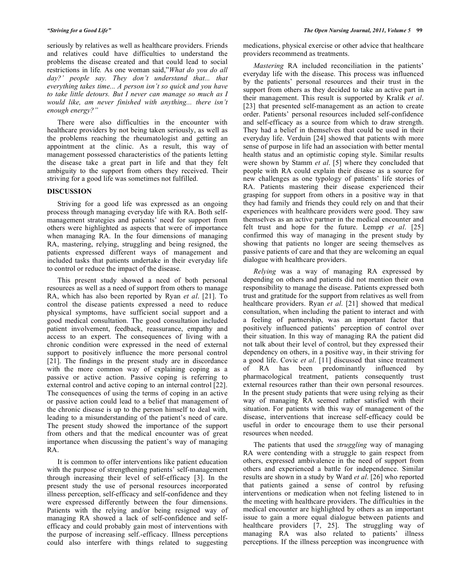seriously by relatives as well as healthcare providers. Friends and relatives could have difficulties to understand the problems the disease created and that could lead to social restrictions in life*.* As one woman said,"*What do you do all day?' people say. They don't understand that... that everything takes time... A person isn't so quick and you have to take little detours. But I never can manage so much as I would like, am never finished with anything... there isn't enough energy?"* 

 There were also difficulties in the encounter with healthcare providers by not being taken seriously, as well as the problems reaching the rheumatologist and getting an appointment at the clinic. As a result, this way of management possessed characteristics of the patients letting the disease take a great part in life and that they felt ambiguity to the support from others they received. Their striving for a good life was sometimes not fulfilled.

## **DISCUSSION**

 Striving for a good life was expressed as an ongoing process through managing everyday life with RA. Both selfmanagement strategies and patients' need for support from others were highlighted as aspects that were of importance when managing RA. In the four dimensions of managing RA, mastering, relying, struggling and being resigned, the patients expressed different ways of management and included tasks that patients undertake in their everyday life to control or reduce the impact of the disease.

 This present study showed a need of both personal resources as well as a need of support from others to manage RA, which has also been reported by Ryan *et al*. [21]. To control the disease patients expressed a need to reduce physical symptoms, have sufficient social support and a good medical consultation. The good consultation included patient involvement, feedback, reassurance, empathy and access to an expert. The consequences of living with a chronic condition were expressed in the need of external support to positively influence the more personal control [21]. The findings in the present study are in discordance with the more common way of explaining coping as a passive or active action. Passive coping is referring to external control and active coping to an internal control [22]. The consequences of using the terms of coping in an active or passive action could lead to a belief that management of the chronic disease is up to the person himself to deal with, leading to a misunderstanding of the patient's need of care. The present study showed the importance of the support from others and that the medical encounter was of great importance when discussing the patient's way of managing RA.

 It is common to offer interventions like patient education with the purpose of strengthening patients' self-management through increasing their level of self-efficacy [3]. In the present study the use of personal resources incorporated illness perception, self-efficacy and self-confidence and they were expressed differently between the four dimensions. Patients with the relying and/or being resigned way of managing RA showed a lack of self-confidence and selfefficacy and could probably gain most of interventions with the purpose of increasing self.-efficacy. Illness perceptions could also interfere with things related to suggesting medications, physical exercise or other advice that healthcare providers recommend as treatments.

 *Mastering* RA included reconciliation in the patients' everyday life with the disease. This process was influenced by the patients' personal resources and their trust in the support from others as they decided to take an active part in their management. This result is supported by Kralik *et al*. [23] that presented self-management as an action to create order. Patients' personal resources included self-confidence and self-efficacy as a source from which to draw strength. They had a belief in themselves that could be used in their everyday life. Verduin [24] showed that patients with more sense of purpose in life had an association with better mental health status and an optimistic coping style. Similar results were shown by Stamm *et al*. [5] where they concluded that people with RA could explain their disease as a source for new challenges as one typology of patients' life stories of RA. Patients mastering their disease experienced their grasping for support from others in a positive way in that they had family and friends they could rely on and that their experiences with healthcare providers were good. They saw themselves as an active partner in the medical encounter and felt trust and hope for the future. Lempp *et al*. [25] confirmed this way of managing in the present study by showing that patients no longer are seeing themselves as passive patients of care and that they are welcoming an equal dialogue with healthcare providers.

 *Relying* was a way of managing RA expressed by depending on others and patients did not mention their own responsibility to manage the disease. Patients expressed both trust and gratitude for the support from relatives as well from healthcare providers. Ryan *et al*. [21] showed that medical consultation, when including the patient to interact and with a feeling of partnership, was an important factor that positively influenced patients' perception of control over their situation. In this way of managing RA the patient did not talk about their level of control, but they expressed their dependency on others, in a positive way, in their striving for a good life. Covic *et al*. [11] discussed that since treatment of RA has been predominantly influenced by pharmacological treatment, patients consequently trust external resources rather than their own personal resources. In the present study patients that were using relying as their way of managing RA seemed rather satisfied with their situation. For patients with this way of management of the disease, interventions that increase self-efficacy could be useful in order to encourage them to use their personal resources when needed.

 The patients that used the *struggling* way of managing RA were contending with a struggle to gain respect from others, expressed ambivalence in the need of support from others and experienced a battle for independence. Similar results are shown in a study by Ward *et al*. [26] who reported that patients gained a sense of control by refusing interventions or medication when not feeling listened to in the meeting with healthcare providers. The difficulties in the medical encounter are highlighted by others as an important issue to gain a more equal dialogue between patients and healthcare providers [7, 25]. The struggling way of managing RA was also related to patients' illness perceptions. If the illness perception was incongruence with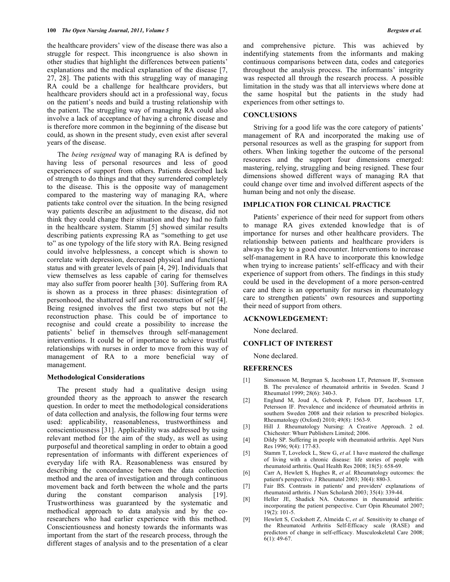the healthcare providers' view of the disease there was also a struggle for respect. This incongruence is also shown in other studies that highlight the differences between patients' explanations and the medical explanation of the disease [7, 27, 28]. The patients with this struggling way of managing RA could be a challenge for healthcare providers, but healthcare providers should act in a professional way, focus on the patient's needs and build a trusting relationship with the patient. The struggling way of managing RA could also involve a lack of acceptance of having a chronic disease and is therefore more common in the beginning of the disease but could, as shown in the present study, even exist after several years of the disease.

 The *being resigned* way of managing RA is defined by having less of personal resources and less of good experiences of support from others. Patients described lack of strength to do things and that they surrendered completely to the disease. This is the opposite way of management compared to the mastering way of managing RA, where patients take control over the situation. In the being resigned way patients describe an adjustment to the disease, did not think they could change their situation and they had no faith in the healthcare system. Stamm [5] showed similar results describing patients expressing RA as "something to get use to" as one typology of the life story with RA. Being resigned could involve helplessness, a concept which is shown to correlate with depression, decreased physical and functional status and with greater levels of pain [4, 29]. Individuals that view themselves as less capable of caring for themselves may also suffer from poorer health [30]. Suffering from RA is shown as a process in three phases: disintegration of personhood, the shattered self and reconstruction of self [4]. Being resigned involves the first two steps but not the reconstruction phase. This could be of importance to recognise and could create a possibility to increase the patients' belief in themselves through self-management interventions. It could be of importance to achieve trustful relationships with nurses in order to move from this way of management of RA to a more beneficial way of management.

#### **Methodological Considerations**

 The present study had a qualitative design using grounded theory as the approach to answer the research question. In order to meet the methodological considerations of data collection and analysis, the following four terms were used: applicability, reasonableness, trustworthiness and conscientiousness [31]. Applicability was addressed by using relevant method for the aim of the study, as well as using purposeful and theoretical sampling in order to obtain a good representation of informants with different experiences of everyday life with RA. Reasonableness was ensured by describing the concordance between the data collection method and the area of investigation and through continuous movement back and forth between the whole and the parts during the constant comparison analysis [19]. Trustworthiness was guaranteed by the systematic and methodical approach to data analysis and by the coresearchers who had earlier experience with this method. Conscientiousness and honesty towards the informants was important from the start of the research process, through the different stages of analysis and to the presentation of a clear

and comprehensive picture. This was achieved by indentifying statements from the informants and making continuous comparisons between data, codes and categories throughout the analysis process. The informants' integrity was respected all through the research process. A possible limitation in the study was that all interviews where done at the same hospital but the patients in the study had experiences from other settings to.

#### **CONCLUSIONS**

 Striving for a good life was the core category of patients' management of RA and incorporated the making use of personal resources as well as the grasping for support from others. When linking together the outcome of the personal resources and the support four dimensions emerged: mastering, relying, struggling and being resigned. These four dimensions showed different ways of managing RA that could change over time and involved different aspects of the human being and not only the disease.

## **IMPLICATION FOR CLINICAL PRACTICE**

 Patients' experience of their need for support from others to manage RA gives extended knowledge that is of importance for nurses and other healthcare providers. The relationship between patients and healthcare providers is always the key to a good encounter. Interventions to increase self-management in RA have to incorporate this knowledge when trying to increase patients' self-efficacy and with their experience of support from others. The findings in this study could be used in the development of a more person-centred care and there is an opportunity for nurses in rheumatology care to strengthen patients' own resources and supporting their need of support from others.

# **ACKNOWLEDGEMENT:**

None declared.

## **CONFLICT OF INTEREST**

None declared.

#### **REFERENCES**

- [1] Simonsson M, Bergman S, Jacobsson LT, Petersson IF, Svensson B. The prevalence of rheumatoid arthritis in Sweden. Scand J Rheumatol 1999; 28(6): 340-3.
- [2] Englund M, Joud A, Geborek P, Felson DT, Jacobsson LT, Petersson IF. Prevalence and incidence of rheumatoid arthritis in southern Sweden 2008 and their relation to prescribed biologics. Rheumatology (Oxford) 2010; 49(8): 1563-9.
- [3] Hill J*.* Rheumatology Nursing: A Creative Approach. 2 ed. Chichester: Whurr Publishers Limited; 2006.
- [4] Dildy SP. Suffering in people with rheumatoid arthritis. Appl Nurs Res 1996; 9(4): 177-83.
- [5] Stamm T, Lovelock L, Stew G, *et al*. I have mastered the challenge of living with a chronic disease: life stories of people with rheumatoid arthritis. Qual Health Res 2008; 18(5): 658-69.
- [6] Carr A, Hewlett S, Hughes R, *et al*. Rheumatology outcomes: the patient's perspective. J Rheumatol 2003; 30(4): 880-3.
- [7] Fair BS. Contrasts in patients' and providers' explanations of rheumatoid arthritis. J Nurs Scholarsh 2003; 35(4): 339-44.
- [8] Heller JE, Shadick NA. Outcomes in rheumatoid arthritis: incorporating the patient perspective. Curr Opin Rheumatol 2007;  $19(2)$ : 101-5.
- [9] Hewlett S, Cockshott Z, Almeida C, *et al*. Sensitivity to change of the Rheumatoid Arthritis Self-Efficacy scale (RASE) and predictors of change in self-efficacy. Musculoskeletal Care 2008; 6(1): 49-67.